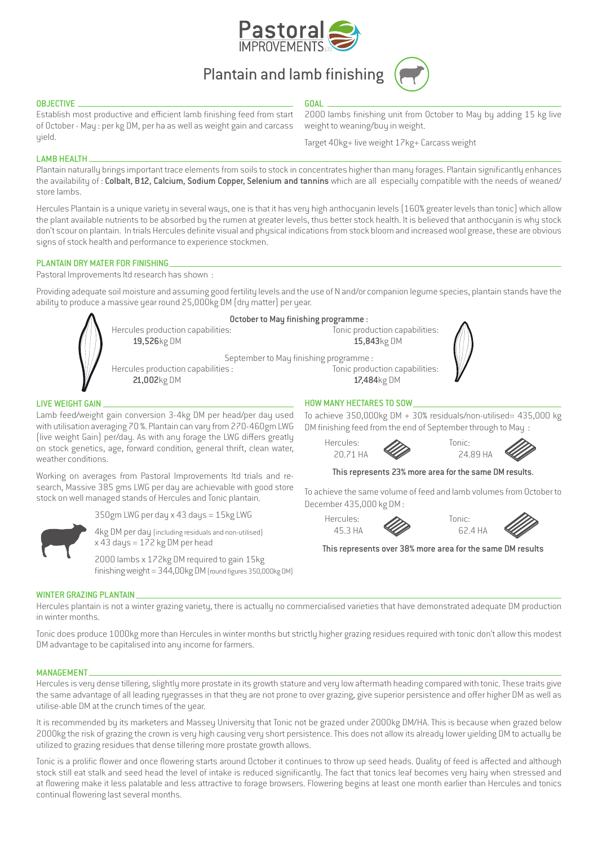

**GOAL** 

# Plantain and lamb finishing



### **OBJECTIVE**

Establish most productive and efficient lamb finishing feed from start of October - May : per kg DM, per ha as well as weight gain and carcass yield.

2000 lambs finishing unit from October to May by adding 15 kg live weight to weaning/buy in weight.

Target 40kg+ live weight 17kg+ Carcass weight

## LAMB HEALTH

Plantain naturally brings important trace elements from soils to stock in concentrates higher than many forages. Plantain significantly enhances the availability of: Colbalt, B12, Calcium, Sodium Copper, Selenium and tannins which are all especially compatible with the needs of weaned/ store lambs.

Hercules Plantain is a unique variety in several ways, one is that it has very high anthocyanin levels (160% greater levels than tonic) which allow the plant available nutrients to be absorbed by the rumen at greater levels, thus better stock health. It is believed that anthocyanin is why stock don't scour on plantain. In trials Hercules definite visual and physical indications from stock bloom and increased wool grease, these are obvious signs of stock health and performance to experience stockmen.

### PLANTAIN DRY MATER FOR FINISHING

Pastoral Improvements ltd research has shown :

Providing adequate soil moisture and assuming good fertility levels and the use of N and/or companion legume species, plantain stands have the ability to produce a massive year round 25,000kg DM (dry matter) per year.

|                                   | October to May finishing programme :  |
|-----------------------------------|---------------------------------------|
| Hercules production capabilities: | Tonic production capabilities:        |
| 19,526kg DM                       | 15,843kg DM                           |
|                                   | September to May finishing programme: |
| Hercules production capabilities: | Tonic production capabilities:        |
| 21,002kg DM                       | 17,484kg DM                           |

#### LIVE WEIGHT GAIN

Lamb feed/weight gain conversion 3-4kg DM per head/per day used with utilisation averaging 70 %. Plantain can vary from 270-460gm LWG (live weight Gain) per/day. As with any forage the LWG differs greatly on stock genetics, age, forward condition, general thrift, clean water, weather conditions.

Working on averages from Pastoral Improvements ltd trials and research, Massive 385 gms LWG per day are achievable with good store stock on well managed stands of Hercules and Tonic plantain.

350gm LWG per day x 43 days = 15kg LWG



4kg DM per day (including residuals and non-utilised) x 43 days = 172 kg DM per head 2000 lambs x 172kg DM required to gain 15kg

finishing weight = 344,00kg DM (round figures 350,000kg DM)

## HOW MANY HECTARES TO SOW

To achieve 350,000kg DM + 30% residuals/non-utilised= 435,000 kg DM finishing feed from the end of September through to May :

Hercules: **A** Tonic:





#### This represents 23% more area for the same DM results.

To achieve the same volume of feed and lamb volumes from October to December 435,000 kg DM :

Hercules: **A** Tonic: 45.3 HA 62.4 HA





This represents over 38% more area for the same DM results

## WINTER GRAZING PLANTAIN

Hercules plantain is not a winter grazing variety, there is actually no commercialised varieties that have demonstrated adequate DM production in winter months.

Tonic does produce 1000kg more than Hercules in winter months but strictly higher grazing residues required with tonic don't allow this modest DM advantage to be capitalised into any income for farmers.

#### MANAGEMENT

Hercules is very dense tillering, slightly more prostate in its growth stature and very low aftermath heading compared with tonic. These traits give the same advantage of all leading ryegrasses in that they are not prone to over grazing, give superior persistence and offer higher DM as well as utilise-able DM at the crunch times of the year.

It is recommended by its marketers and Massey University that Tonic not be grazed under 2000kg DM/HA. This is because when grazed below 2000kg the risk of grazing the crown is very high causing very short persistence. This does not allow its already lower yielding DM to actually be utilized to grazing residues that dense tillering more prostate growth allows.

Tonic is a prolific flower and once flowering starts around October it continues to throw up seed heads. Quality of feed is affected and although stock still eat stalk and seed head the level of intake is reduced significantly. The fact that tonics leaf becomes very hairy when stressed and at flowering make it less palatable and less attractive to forage browsers. Flowering begins at least one month earlier than Hercules and tonics continual flowering last several months.